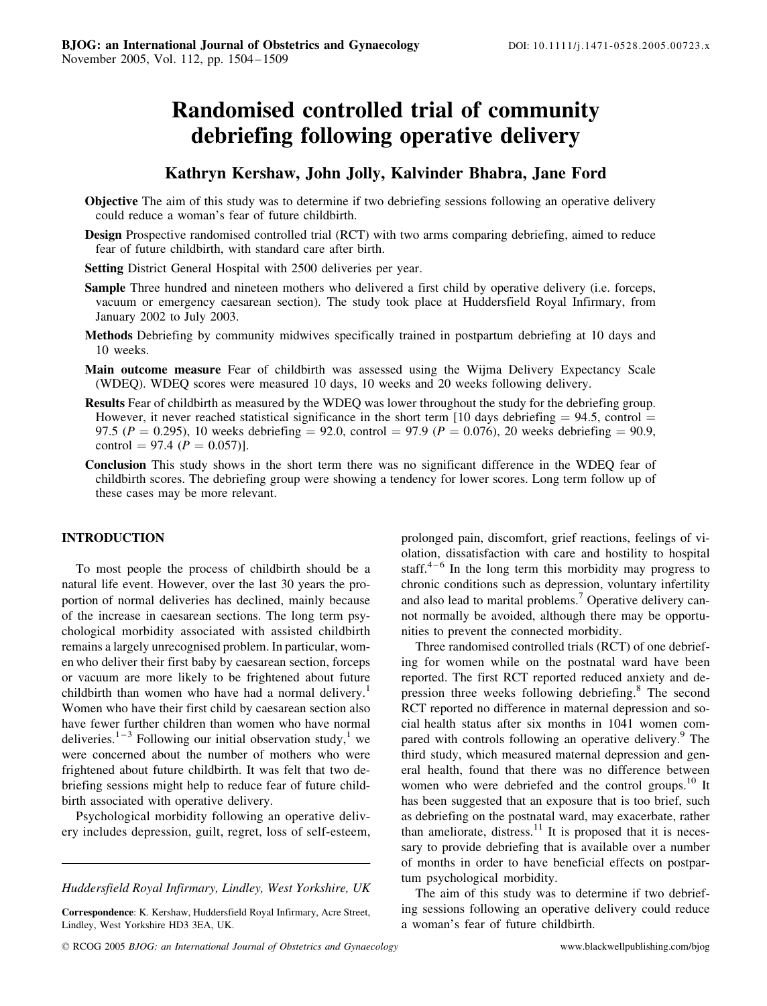# Randomised controlled trial of community debriefing following operative delivery

# Kathryn Kershaw, John Jolly, Kalvinder Bhabra, Jane Ford

- Objective The aim of this study was to determine if two debriefing sessions following an operative delivery could reduce a woman's fear of future childbirth.
- Design Prospective randomised controlled trial (RCT) with two arms comparing debriefing, aimed to reduce fear of future childbirth, with standard care after birth.
- Setting District General Hospital with 2500 deliveries per year.
- Sample Three hundred and nineteen mothers who delivered a first child by operative delivery (i.e. forceps, vacuum or emergency caesarean section). The study took place at Huddersfield Royal Infirmary, from January 2002 to July 2003.
- Methods Debriefing by community midwives specifically trained in postpartum debriefing at 10 days and 10 weeks.
- Main outcome measure Fear of childbirth was assessed using the Wijma Delivery Expectancy Scale (WDEQ). WDEQ scores were measured 10 days, 10 weeks and 20 weeks following delivery.
- Results Fear of childbirth as measured by the WDEQ was lower throughout the study for the debriefing group. However, it never reached statistical significance in the short term [10 days debriefing  $= 94.5$ , control  $=$ 97.5 ( $P = 0.295$ ), 10 weeks debriefing = 92.0, control = 97.9 ( $P = 0.076$ ), 20 weeks debriefing = 90.9, control = 97.4 ( $P = 0.057$ ).
- Conclusion This study shows in the short term there was no significant difference in the WDEQ fear of childbirth scores. The debriefing group were showing a tendency for lower scores. Long term follow up of these cases may be more relevant.

## INTRODUCTION

To most people the process of childbirth should be a natural life event. However, over the last 30 years the proportion of normal deliveries has declined, mainly because of the increase in caesarean sections. The long term psychological morbidity associated with assisted childbirth remains a largely unrecognised problem. In particular, women who deliver their first baby by caesarean section, forceps or vacuum are more likely to be frightened about future childbirth than women who have had a normal delivery.<sup>1</sup> Women who have their first child by caesarean section also have fewer further children than women who have normal deliveries.<sup>1–3</sup> Following our initial observation study,<sup>1</sup> we were concerned about the number of mothers who were frightened about future childbirth. It was felt that two debriefing sessions might help to reduce fear of future childbirth associated with operative delivery.

Psychological morbidity following an operative delivery includes depression, guilt, regret, loss of self-esteem, olation, dissatisfaction with care and hostility to hospital staff.<sup>4–6</sup> In the long term this morbidity may progress to chronic conditions such as depression, voluntary infertility and also lead to marital problems.<sup>7</sup> Operative delivery cannot normally be avoided, although there may be opportunities to prevent the connected morbidity. Three randomised controlled trials (RCT) of one debrief-

prolonged pain, discomfort, grief reactions, feelings of vi-

ing for women while on the postnatal ward have been reported. The first RCT reported reduced anxiety and depression three weeks following debriefing.<sup>8</sup> The second RCT reported no difference in maternal depression and social health status after six months in 1041 women compared with controls following an operative delivery.<sup>9</sup> The third study, which measured maternal depression and general health, found that there was no difference between women who were debriefed and the control groups.<sup>10</sup> It has been suggested that an exposure that is too brief, such as debriefing on the postnatal ward, may exacerbate, rather than ameliorate, distress. $11$  It is proposed that it is necessary to provide debriefing that is available over a number of months in order to have beneficial effects on postpartum psychological morbidity.

The aim of this study was to determine if two debriefing sessions following an operative delivery could reduce a woman's fear of future childbirth.

Huddersfield Royal Infirmary, Lindley, West Yorkshire, UK

Correspondence: K. Kershaw, Huddersfield Royal Infirmary, Acre Street, Lindley, West Yorkshire HD3 3EA, UK.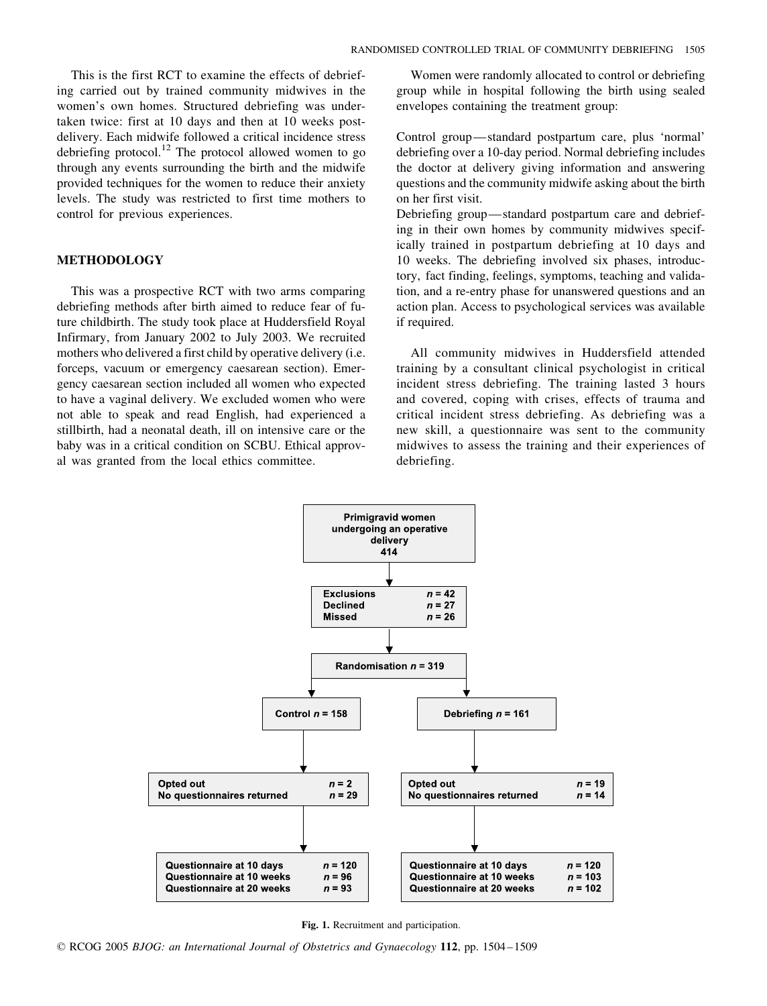This is the first RCT to examine the effects of debriefing carried out by trained community midwives in the women's own homes. Structured debriefing was undertaken twice: first at 10 days and then at 10 weeks postdelivery. Each midwife followed a critical incidence stress debriefing protocol.<sup>12</sup> The protocol allowed women to go through any events surrounding the birth and the midwife provided techniques for the women to reduce their anxiety levels. The study was restricted to first time mothers to control for previous experiences.

#### METHODOLOGY

This was a prospective RCT with two arms comparing debriefing methods after birth aimed to reduce fear of future childbirth. The study took place at Huddersfield Royal Infirmary, from January 2002 to July 2003. We recruited mothers who delivered a first child by operative delivery (i.e. forceps, vacuum or emergency caesarean section). Emergency caesarean section included all women who expected to have a vaginal delivery. We excluded women who were not able to speak and read English, had experienced a stillbirth, had a neonatal death, ill on intensive care or the baby was in a critical condition on SCBU. Ethical approval was granted from the local ethics committee.

Women were randomly allocated to control or debriefing group while in hospital following the birth using sealed envelopes containing the treatment group:

Control group—standard postpartum care, plus 'normal' debriefing over a 10-day period. Normal debriefing includes the doctor at delivery giving information and answering questions and the community midwife asking about the birth on her first visit.

Debriefing group—standard postpartum care and debriefing in their own homes by community midwives specifically trained in postpartum debriefing at 10 days and 10 weeks. The debriefing involved six phases, introductory, fact finding, feelings, symptoms, teaching and validation, and a re-entry phase for unanswered questions and an action plan. Access to psychological services was available if required.

All community midwives in Huddersfield attended training by a consultant clinical psychologist in critical incident stress debriefing. The training lasted 3 hours and covered, coping with crises, effects of trauma and critical incident stress debriefing. As debriefing was a new skill, a questionnaire was sent to the community midwives to assess the training and their experiences of debriefing.



Fig. 1. Recruitment and participation.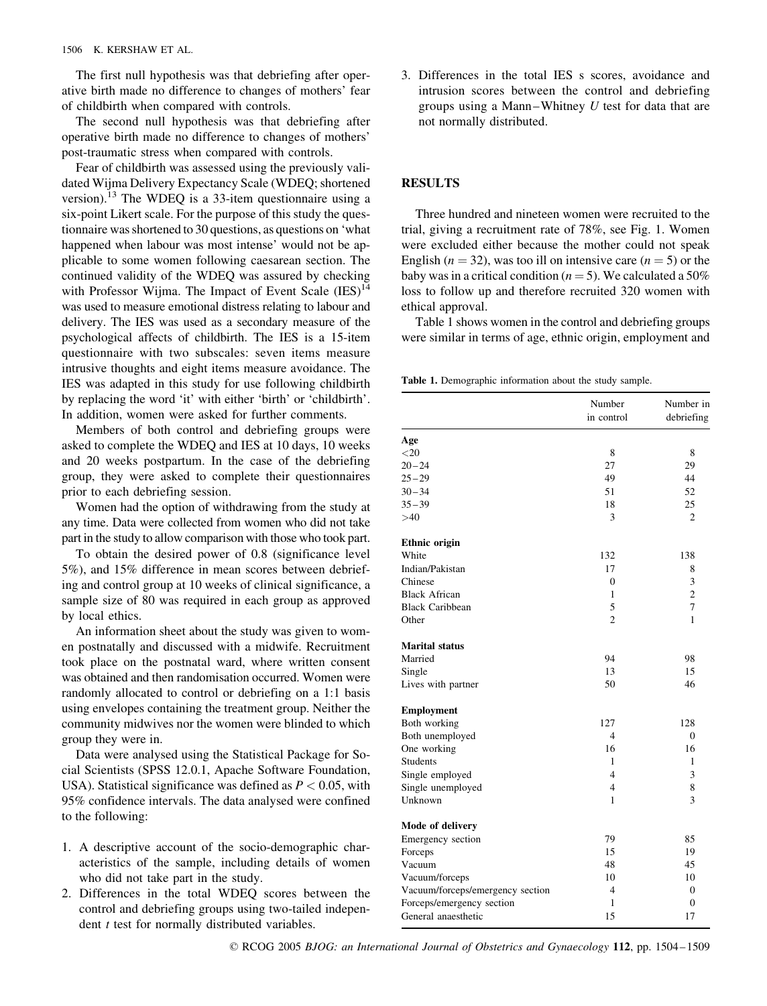The first null hypothesis was that debriefing after operative birth made no difference to changes of mothers' fear of childbirth when compared with controls.

The second null hypothesis was that debriefing after operative birth made no difference to changes of mothers' post-traumatic stress when compared with controls.

Fear of childbirth was assessed using the previously validated Wijma Delivery Expectancy Scale (WDEQ; shortened version).<sup>13</sup> The WDEQ is a 33-item questionnaire using a six-point Likert scale. For the purpose of this study the questionnaire was shortened to 30 questions, as questions on 'what happened when labour was most intense' would not be applicable to some women following caesarean section. The continued validity of the WDEQ was assured by checking with Professor Wijma. The Impact of Event Scale  $(IES)^{14}$ was used to measure emotional distress relating to labour and delivery. The IES was used as a secondary measure of the psychological affects of childbirth. The IES is a 15-item questionnaire with two subscales: seven items measure intrusive thoughts and eight items measure avoidance. The IES was adapted in this study for use following childbirth by replacing the word 'it' with either 'birth' or 'childbirth'. In addition, women were asked for further comments.

Members of both control and debriefing groups were asked to complete the WDEQ and IES at 10 days, 10 weeks and 20 weeks postpartum. In the case of the debriefing group, they were asked to complete their questionnaires prior to each debriefing session.

Women had the option of withdrawing from the study at any time. Data were collected from women who did not take part in the study to allow comparison with those who took part.

To obtain the desired power of 0.8 (significance level 5%), and 15% difference in mean scores between debriefing and control group at 10 weeks of clinical significance, a sample size of 80 was required in each group as approved by local ethics.

An information sheet about the study was given to women postnatally and discussed with a midwife. Recruitment took place on the postnatal ward, where written consent was obtained and then randomisation occurred. Women were randomly allocated to control or debriefing on a 1:1 basis using envelopes containing the treatment group. Neither the community midwives nor the women were blinded to which group they were in.

Data were analysed using the Statistical Package for Social Scientists (SPSS 12.0.1, Apache Software Foundation, USA). Statistical significance was defined as  $P < 0.05$ , with 95% confidence intervals. The data analysed were confined to the following:

- 1. A descriptive account of the socio-demographic characteristics of the sample, including details of women who did not take part in the study.
- 2. Differences in the total WDEQ scores between the control and debriefing groups using two-tailed independent *t* test for normally distributed variables.

3. Differences in the total IES s scores, avoidance and intrusion scores between the control and debriefing groups using a Mann–Whitney  $U$  test for data that are not normally distributed.

#### RESULTS

Three hundred and nineteen women were recruited to the trial, giving a recruitment rate of 78%, see Fig. 1. Women were excluded either because the mother could not speak English ( $n = 32$ ), was too ill on intensive care ( $n = 5$ ) or the baby was in a critical condition ( $n = 5$ ). We calculated a 50% loss to follow up and therefore recruited 320 women with ethical approval.

Table 1 shows women in the control and debriefing groups were similar in terms of age, ethnic origin, employment and

Table 1. Demographic information about the study sample.

|                                  | Number<br>in control | Number in<br>debriefing |
|----------------------------------|----------------------|-------------------------|
| Age                              |                      |                         |
| $<$ 20                           | 8                    | 8                       |
| $20 - 24$                        | 27                   | 29                      |
| $25 - 29$                        | 49                   | 44                      |
| $30 - 34$                        | 51                   | 52                      |
| $35 - 39$                        | 18                   | 25                      |
| >40                              | $\mathcal{E}$        | $\mathfrak{D}$          |
| Ethnic origin                    |                      |                         |
| White                            | 132                  | 138                     |
| Indian/Pakistan                  | 17                   | 8                       |
| Chinese                          | $\theta$             | 3                       |
| <b>Black African</b>             | 1                    | $\overline{c}$          |
| <b>Black Caribbean</b>           | 5                    | 7                       |
| Other                            | $\overline{c}$       | 1                       |
| <b>Marital status</b>            |                      |                         |
| Married                          | 94                   | 98                      |
| Single                           | 13                   | 15                      |
| Lives with partner               | 50                   | 46                      |
| <b>Employment</b>                |                      |                         |
| Both working                     | 127                  | 128                     |
| Both unemployed                  | $\overline{4}$       | $\Omega$                |
| One working                      | 16                   | 16                      |
| Students                         | 1                    | 1                       |
| Single employed                  | $\overline{4}$       | 3                       |
| Single unemployed                | 4                    | 8                       |
| Unknown                          | 1                    | 3                       |
| Mode of delivery                 |                      |                         |
| Emergency section                | 79                   | 85                      |
| Forceps                          | 15                   | 19                      |
| Vacuum                           | 48                   | 45                      |
| Vacuum/forceps                   | 10                   | 10                      |
| Vacuum/forceps/emergency section | $\overline{4}$       | $\mathbf{0}$            |
| Forceps/emergency section        | 1                    | $\overline{0}$          |
| General anaesthetic              | 15                   | 17                      |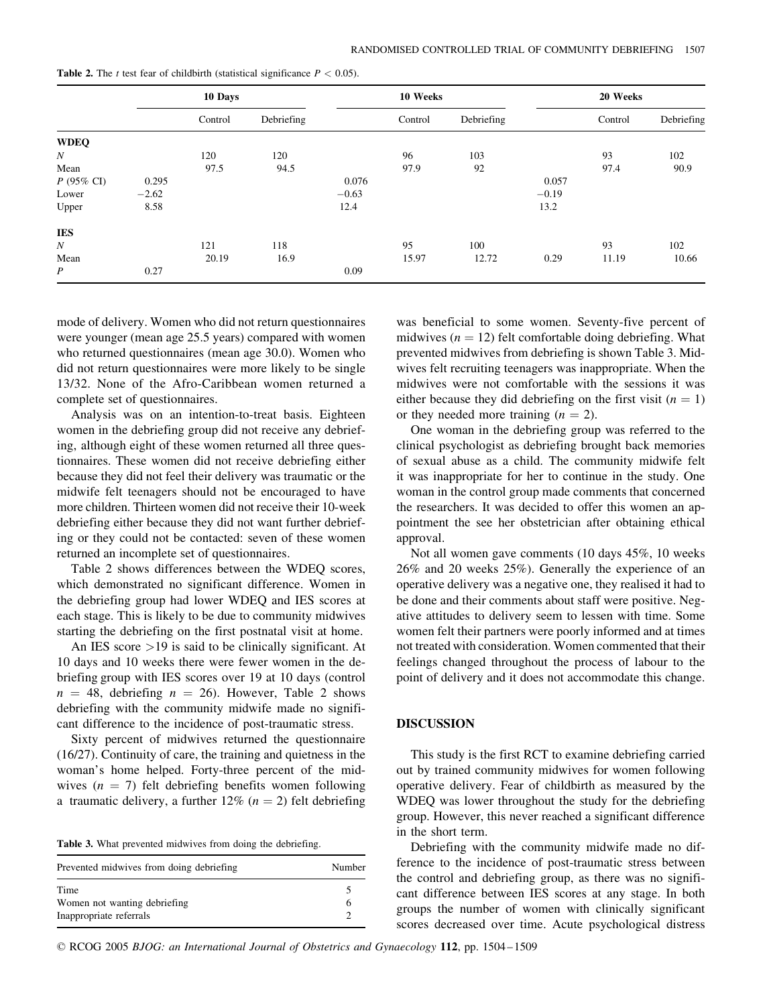|                  | 10 Days |         |            | 10 Weeks |         |            | 20 Weeks |         |            |
|------------------|---------|---------|------------|----------|---------|------------|----------|---------|------------|
|                  |         | Control | Debriefing |          | Control | Debriefing |          | Control | Debriefing |
| <b>WDEQ</b>      |         |         |            |          |         |            |          |         |            |
| N                |         | 120     | 120        |          | 96      | 103        |          | 93      | 102        |
| Mean             |         | 97.5    | 94.5       |          | 97.9    | 92         |          | 97.4    | 90.9       |
| $P$ (95% CI)     | 0.295   |         |            | 0.076    |         |            | 0.057    |         |            |
| Lower            | $-2.62$ |         |            | $-0.63$  |         |            | $-0.19$  |         |            |
| Upper            | 8.58    |         |            | 12.4     |         |            | 13.2     |         |            |
| <b>IES</b>       |         |         |            |          |         |            |          |         |            |
| N                |         | 121     | 118        |          | 95      | 100        |          | 93      | 102        |
| Mean             |         | 20.19   | 16.9       |          | 15.97   | 12.72      | 0.29     | 11.19   | 10.66      |
| $\boldsymbol{P}$ | 0.27    |         |            | 0.09     |         |            |          |         |            |

Table 2. The t test fear of childbirth (statistical significance  $P < 0.05$ ).

mode of delivery. Women who did not return questionnaires were younger (mean age 25.5 years) compared with women who returned questionnaires (mean age 30.0). Women who did not return questionnaires were more likely to be single 13/32. None of the Afro-Caribbean women returned a complete set of questionnaires.

Analysis was on an intention-to-treat basis. Eighteen women in the debriefing group did not receive any debriefing, although eight of these women returned all three questionnaires. These women did not receive debriefing either because they did not feel their delivery was traumatic or the midwife felt teenagers should not be encouraged to have more children. Thirteen women did not receive their 10-week debriefing either because they did not want further debriefing or they could not be contacted: seven of these women returned an incomplete set of questionnaires.

Table 2 shows differences between the WDEQ scores, which demonstrated no significant difference. Women in the debriefing group had lower WDEQ and IES scores at each stage. This is likely to be due to community midwives starting the debriefing on the first postnatal visit at home.

An IES score >19 is said to be clinically significant. At 10 days and 10 weeks there were fewer women in the debriefing group with IES scores over 19 at 10 days (control  $n = 48$ , debriefing  $n = 26$ ). However, Table 2 shows debriefing with the community midwife made no significant difference to the incidence of post-traumatic stress.

Sixty percent of midwives returned the questionnaire (16/27). Continuity of care, the training and quietness in the woman's home helped. Forty-three percent of the midwives  $(n = 7)$  felt debriefing benefits women following a traumatic delivery, a further  $12\%$  ( $n = 2$ ) felt debriefing

| Table 3. What prevented midwives from doing the debriefing. |  |  |  |  |  |  |
|-------------------------------------------------------------|--|--|--|--|--|--|
|-------------------------------------------------------------|--|--|--|--|--|--|

| Prevented midwives from doing debriefing                        | Number |  |  |
|-----------------------------------------------------------------|--------|--|--|
| Time<br>Women not wanting debriefing<br>Inappropriate referrals |        |  |  |

was beneficial to some women. Seventy-five percent of midwives  $(n = 12)$  felt comfortable doing debriefing. What prevented midwives from debriefing is shown Table 3. Midwives felt recruiting teenagers was inappropriate. When the midwives were not comfortable with the sessions it was either because they did debriefing on the first visit  $(n = 1)$ or they needed more training  $(n = 2)$ .

One woman in the debriefing group was referred to the clinical psychologist as debriefing brought back memories of sexual abuse as a child. The community midwife felt it was inappropriate for her to continue in the study. One woman in the control group made comments that concerned the researchers. It was decided to offer this women an appointment the see her obstetrician after obtaining ethical approval.

Not all women gave comments (10 days 45%, 10 weeks 26% and 20 weeks 25%). Generally the experience of an operative delivery was a negative one, they realised it had to be done and their comments about staff were positive. Negative attitudes to delivery seem to lessen with time. Some women felt their partners were poorly informed and at times not treated with consideration. Women commented that their feelings changed throughout the process of labour to the point of delivery and it does not accommodate this change.

#### DISCUSSION

This study is the first RCT to examine debriefing carried out by trained community midwives for women following operative delivery. Fear of childbirth as measured by the WDEQ was lower throughout the study for the debriefing group. However, this never reached a significant difference in the short term.

Debriefing with the community midwife made no difference to the incidence of post-traumatic stress between the control and debriefing group, as there was no significant difference between IES scores at any stage. In both groups the number of women with clinically significant scores decreased over time. Acute psychological distress

D RCOG 2005 BJOG: an International Journal of Obstetrics and Gynaecology 112, pp. 1504–1509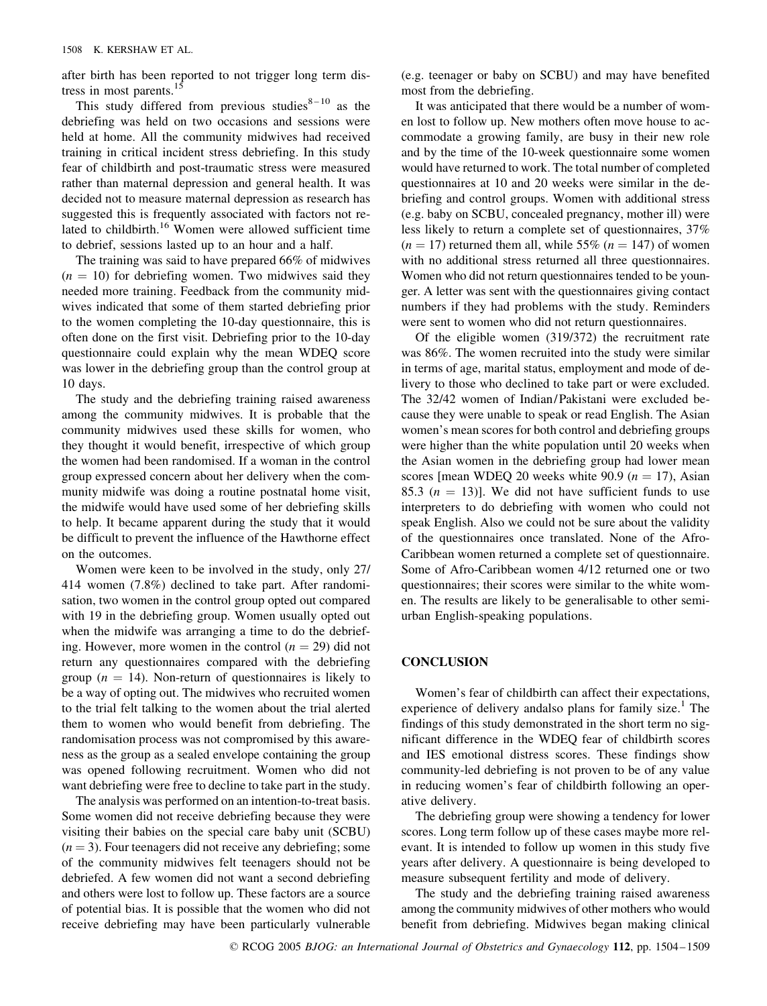after birth has been reported to not trigger long term distress in most parents.<sup>15</sup>

This study differed from previous studies $8-10$  as the debriefing was held on two occasions and sessions were held at home. All the community midwives had received training in critical incident stress debriefing. In this study fear of childbirth and post-traumatic stress were measured rather than maternal depression and general health. It was decided not to measure maternal depression as research has suggested this is frequently associated with factors not related to childbirth.<sup>16</sup> Women were allowed sufficient time to debrief, sessions lasted up to an hour and a half.

The training was said to have prepared 66% of midwives  $(n = 10)$  for debriefing women. Two midwives said they needed more training. Feedback from the community midwives indicated that some of them started debriefing prior to the women completing the 10-day questionnaire, this is often done on the first visit. Debriefing prior to the 10-day questionnaire could explain why the mean WDEQ score was lower in the debriefing group than the control group at 10 days.

The study and the debriefing training raised awareness among the community midwives. It is probable that the community midwives used these skills for women, who they thought it would benefit, irrespective of which group the women had been randomised. If a woman in the control group expressed concern about her delivery when the community midwife was doing a routine postnatal home visit, the midwife would have used some of her debriefing skills to help. It became apparent during the study that it would be difficult to prevent the influence of the Hawthorne effect on the outcomes.

Women were keen to be involved in the study, only 27/ 414 women (7.8%) declined to take part. After randomisation, two women in the control group opted out compared with 19 in the debriefing group. Women usually opted out when the midwife was arranging a time to do the debriefing. However, more women in the control  $(n = 29)$  did not return any questionnaires compared with the debriefing group ( $n = 14$ ). Non-return of questionnaires is likely to be a way of opting out. The midwives who recruited women to the trial felt talking to the women about the trial alerted them to women who would benefit from debriefing. The randomisation process was not compromised by this awareness as the group as a sealed envelope containing the group was opened following recruitment. Women who did not want debriefing were free to decline to take part in the study.

The analysis was performed on an intention-to-treat basis. Some women did not receive debriefing because they were visiting their babies on the special care baby unit (SCBU)  $(n = 3)$ . Four teenagers did not receive any debriefing; some of the community midwives felt teenagers should not be debriefed. A few women did not want a second debriefing and others were lost to follow up. These factors are a source of potential bias. It is possible that the women who did not receive debriefing may have been particularly vulnerable (e.g. teenager or baby on SCBU) and may have benefited most from the debriefing.

It was anticipated that there would be a number of women lost to follow up. New mothers often move house to accommodate a growing family, are busy in their new role and by the time of the 10-week questionnaire some women would have returned to work. The total number of completed questionnaires at 10 and 20 weeks were similar in the debriefing and control groups. Women with additional stress (e.g. baby on SCBU, concealed pregnancy, mother ill) were less likely to return a complete set of questionnaires, 37%  $(n = 17)$  returned them all, while 55%  $(n = 147)$  of women with no additional stress returned all three questionnaires. Women who did not return questionnaires tended to be younger. A letter was sent with the questionnaires giving contact numbers if they had problems with the study. Reminders were sent to women who did not return questionnaires.

Of the eligible women (319/372) the recruitment rate was 86%. The women recruited into the study were similar in terms of age, marital status, employment and mode of delivery to those who declined to take part or were excluded. The 32/42 women of Indian/Pakistani were excluded because they were unable to speak or read English. The Asian women's mean scores for both control and debriefing groups were higher than the white population until 20 weeks when the Asian women in the debriefing group had lower mean scores [mean WDEQ 20 weeks white 90.9  $(n = 17)$ , Asian 85.3 ( $n = 13$ ). We did not have sufficient funds to use interpreters to do debriefing with women who could not speak English. Also we could not be sure about the validity of the questionnaires once translated. None of the Afro-Caribbean women returned a complete set of questionnaire. Some of Afro-Caribbean women 4/12 returned one or two questionnaires; their scores were similar to the white women. The results are likely to be generalisable to other semiurban English-speaking populations.

### **CONCLUSION**

Women's fear of childbirth can affect their expectations, experience of delivery andalso plans for family size.<sup>1</sup> The findings of this study demonstrated in the short term no significant difference in the WDEQ fear of childbirth scores and IES emotional distress scores. These findings show community-led debriefing is not proven to be of any value in reducing women's fear of childbirth following an operative delivery.

The debriefing group were showing a tendency for lower scores. Long term follow up of these cases maybe more relevant. It is intended to follow up women in this study five years after delivery. A questionnaire is being developed to measure subsequent fertility and mode of delivery.

The study and the debriefing training raised awareness among the community midwives of other mothers who would benefit from debriefing. Midwives began making clinical